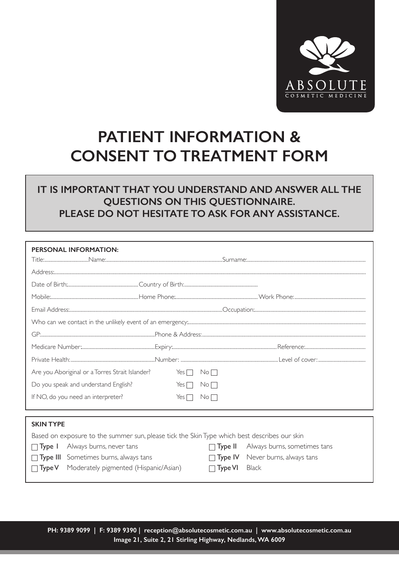

## **PATIENT INFORMATION & CONSENT TO TREATMENT FORM**

## **IT IS IMPORTANT THAT YOU UNDERSTAND AND ANSWER ALL THE QUESTIONS ON THIS QUESTIONNAIRE. PLEASE DO NOT HESITATE TO ASK FOR ANY ASSISTANCE.**

| <b>PERSONAL INFORMATION:</b>                                                                 |            |                     |                                             |  |  |  |
|----------------------------------------------------------------------------------------------|------------|---------------------|---------------------------------------------|--|--|--|
|                                                                                              |            |                     |                                             |  |  |  |
|                                                                                              |            |                     |                                             |  |  |  |
|                                                                                              |            |                     |                                             |  |  |  |
|                                                                                              |            |                     |                                             |  |  |  |
|                                                                                              |            |                     |                                             |  |  |  |
|                                                                                              |            |                     |                                             |  |  |  |
|                                                                                              |            |                     |                                             |  |  |  |
|                                                                                              |            |                     |                                             |  |  |  |
| Are you Aboriginal or a Torres Strait Islander?                                              | Yes $\Box$ | $\mathsf{No}\,\Box$ |                                             |  |  |  |
| Do you speak and understand English?                                                         | Yes $\Box$ | No <sub>1</sub>     |                                             |  |  |  |
| If NO, do you need an interpreter?                                                           | Yes $\Box$ | No <sub>1</sub>     |                                             |  |  |  |
|                                                                                              |            |                     |                                             |  |  |  |
| <b>SKIN TYPE</b>                                                                             |            |                     |                                             |  |  |  |
| Based on exposure to the summer sun, please tick the Skin Type which best describes our skin |            |                     |                                             |  |  |  |
| Always burns, never tans<br>$\Box$ Type 1                                                    |            |                     | $\Box$ Type II Always burns, sometimes tans |  |  |  |
| <b>Type III</b> Sometimes burns, always tans                                                 |            |                     | Type IV Never burns, always tans            |  |  |  |
| Moderately pigmented (Hispanic/Asian)<br>$\Box$ Type V                                       |            | $\Box$ Type VI      | Black                                       |  |  |  |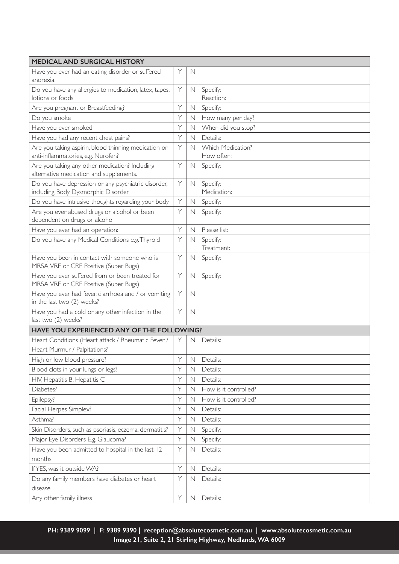| <b>MEDICAL AND SURGICAL HISTORY</b>                                                        |   |             |                                        |  |  |
|--------------------------------------------------------------------------------------------|---|-------------|----------------------------------------|--|--|
| Have you ever had an eating disorder or suffered<br>anorexia                               | Υ | N           |                                        |  |  |
| Do you have any allergies to medication, latex, tapes,<br>lotions or foods                 |   | $\mathbb N$ | Specify:<br>Reaction:                  |  |  |
| Are you pregnant or Breastfeeding?                                                         |   | N           | Specify:                               |  |  |
| Do you smoke                                                                               |   | $\mathbb N$ | How many per day?                      |  |  |
| Have you ever smoked                                                                       |   | $\mathbb N$ | When did you stop?                     |  |  |
| Have you had any recent chest pains?                                                       |   | $\mathbb N$ | Details:                               |  |  |
| Are you taking aspirin, blood thinning medication or<br>anti-inflammatories, e.g. Nurofen? |   | N           | <b>Which Medication?</b><br>How often: |  |  |
| Are you taking any other medication? Including<br>alternative medication and supplements.  |   | $\mathbb N$ | Specify:                               |  |  |
| Do you have depression or any psychiatric disorder,<br>including Body Dysmorphic Disorder  |   | $\mathbb N$ | Specify:<br>Medication:                |  |  |
| Do you have intrusive thoughts regarding your body                                         | Υ | $\mathbb N$ | Specify:                               |  |  |
| Are you ever abused drugs or alcohol or been<br>dependent on drugs or alcohol              |   | $\mathbb N$ | Specify:                               |  |  |
| Have you ever had an operation:                                                            | Υ | N           | Please list:                           |  |  |
| Do you have any Medical Conditions e.g. Thyroid                                            |   | $\mathbb N$ | Specify:<br>Treatment:                 |  |  |
| Have you been in contact with someone who is<br>MRSA, VRE or CRE Positive (Super Bugs)     |   | N           | Specify:                               |  |  |
| Have you ever suffered from or been treated for<br>MRSA, VRE or CRE Positive (Super Bugs)  | Y | $\mathbb N$ | Specify:                               |  |  |
| Have you ever had fever, diarrhoea and / or vomiting<br>in the last two (2) weeks?         | Y | N           |                                        |  |  |
| Have you had a cold or any other infection in the<br>last two (2) weeks?                   | Y | $\mathbb N$ |                                        |  |  |
| HAVE YOU EXPERIENCED ANY OF THE FOLLOWING?                                                 |   |             |                                        |  |  |
| Heart Conditions (Heart attack / Rheumatic Fever /<br>Heart Murmur / Palpitations?         |   | N           | Details:                               |  |  |
| High or low blood pressure?                                                                | Y | N           | Details:                               |  |  |
| Blood clots in your lungs or legs?                                                         | Y | N           | Details:                               |  |  |
| HIV, Hepatitis B, Hepatitis C                                                              | Y | N           | Details:                               |  |  |
| Diabetes?                                                                                  | Υ | N           | How is it controlled?                  |  |  |
| Epilepsy?                                                                                  | Y | $\mathbb N$ | How is it controlled?                  |  |  |
| Facial Herpes Simplex?                                                                     | Υ | $\mathbb N$ | Details:                               |  |  |
| Asthma?                                                                                    | Y | N           | Details:                               |  |  |
| Skin Disorders, such as psoriasis, eczema, dermatitis?                                     | Υ | $\mathbb N$ | Specify:                               |  |  |
| Major Eye Disorders E.g. Glaucoma?                                                         | Y | $\mathbb N$ | Specify:                               |  |  |
| Have you been admitted to hospital in the last 12                                          |   | $\mathbb N$ | Details:                               |  |  |
| months                                                                                     |   |             |                                        |  |  |
| If YES, was it outside WA?                                                                 | Y | $\mathbb N$ | Details:                               |  |  |
| Do any family members have diabetes or heart<br>disease                                    | Y | N           | Details:                               |  |  |
| Any other family illness                                                                   | Υ | N           | Details:                               |  |  |

**PH: 9389 9099 | F: 9389 9390 | reception@absolutecosmetic.com.au | www.absolutecosmetic.com.au Image 21, Suite 2, 21 Stirling Highway, Nedlands, WA 6009**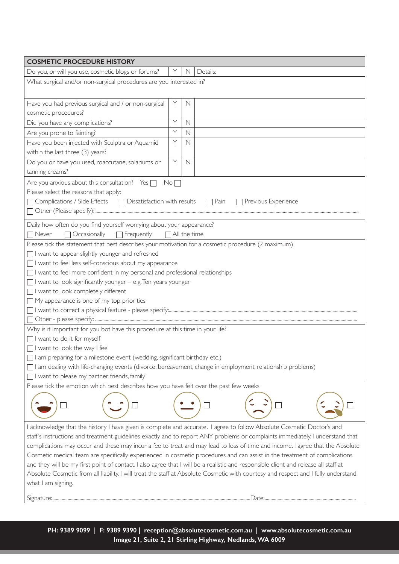| <b>COSMETIC PROCEDURE HISTORY</b>                                                                                                                                                                                                                                                                                                                                                                                                                                                                                                                                                                                                                                                                                                                                                                                         |   |             |          |  |  |  |
|---------------------------------------------------------------------------------------------------------------------------------------------------------------------------------------------------------------------------------------------------------------------------------------------------------------------------------------------------------------------------------------------------------------------------------------------------------------------------------------------------------------------------------------------------------------------------------------------------------------------------------------------------------------------------------------------------------------------------------------------------------------------------------------------------------------------------|---|-------------|----------|--|--|--|
| Do you, or will you use, cosmetic blogs or forums?                                                                                                                                                                                                                                                                                                                                                                                                                                                                                                                                                                                                                                                                                                                                                                        | Y | $\mathbb N$ | Details: |  |  |  |
| What surgical and/or non-surgical procedures are you interested in?                                                                                                                                                                                                                                                                                                                                                                                                                                                                                                                                                                                                                                                                                                                                                       |   |             |          |  |  |  |
| Have you had previous surgical and / or non-surgical<br>cosmetic procedures?                                                                                                                                                                                                                                                                                                                                                                                                                                                                                                                                                                                                                                                                                                                                              | Y | N           |          |  |  |  |
| Did you have any complications?                                                                                                                                                                                                                                                                                                                                                                                                                                                                                                                                                                                                                                                                                                                                                                                           |   | $\mathbb N$ |          |  |  |  |
| Are you prone to fainting?                                                                                                                                                                                                                                                                                                                                                                                                                                                                                                                                                                                                                                                                                                                                                                                                |   | $\mathbb N$ |          |  |  |  |
| Have you been injected with Sculptra or Aquamid                                                                                                                                                                                                                                                                                                                                                                                                                                                                                                                                                                                                                                                                                                                                                                           |   | $\mathbb N$ |          |  |  |  |
| within the last three (3) years?                                                                                                                                                                                                                                                                                                                                                                                                                                                                                                                                                                                                                                                                                                                                                                                          |   |             |          |  |  |  |
| Do you or have you used, roaccutane, solariums or<br>tanning creams?                                                                                                                                                                                                                                                                                                                                                                                                                                                                                                                                                                                                                                                                                                                                                      | Y | $\mathbb N$ |          |  |  |  |
| Are you anxious about this consultation? Yes $\Box$<br>No <sub>1</sub><br>Please select the reasons that apply:<br>□ Complications / Side Effects □ Dissatisfaction with results □ Pain<br>Previous Experience                                                                                                                                                                                                                                                                                                                                                                                                                                                                                                                                                                                                            |   |             |          |  |  |  |
| Daily, how often do you find yourself worrying about your appearance?                                                                                                                                                                                                                                                                                                                                                                                                                                                                                                                                                                                                                                                                                                                                                     |   |             |          |  |  |  |
| $\Box$ Never<br>  Occasionally □ Frequently □ All the time<br>Please tick the statement that best describes your motivation for a cosmetic procedure (2 maximum)                                                                                                                                                                                                                                                                                                                                                                                                                                                                                                                                                                                                                                                          |   |             |          |  |  |  |
| I want to appear slightly younger and refreshed                                                                                                                                                                                                                                                                                                                                                                                                                                                                                                                                                                                                                                                                                                                                                                           |   |             |          |  |  |  |
| I want to feel less self-conscious about my appearance                                                                                                                                                                                                                                                                                                                                                                                                                                                                                                                                                                                                                                                                                                                                                                    |   |             |          |  |  |  |
| I want to feel more confident in my personal and professional relationships                                                                                                                                                                                                                                                                                                                                                                                                                                                                                                                                                                                                                                                                                                                                               |   |             |          |  |  |  |
| I want to look significantly younger - e.g. Ten years younger                                                                                                                                                                                                                                                                                                                                                                                                                                                                                                                                                                                                                                                                                                                                                             |   |             |          |  |  |  |
| I want to look completely different<br>$\Box$ My appearance is one of my top priorities                                                                                                                                                                                                                                                                                                                                                                                                                                                                                                                                                                                                                                                                                                                                   |   |             |          |  |  |  |
|                                                                                                                                                                                                                                                                                                                                                                                                                                                                                                                                                                                                                                                                                                                                                                                                                           |   |             |          |  |  |  |
|                                                                                                                                                                                                                                                                                                                                                                                                                                                                                                                                                                                                                                                                                                                                                                                                                           |   |             |          |  |  |  |
| Why is it important for you bot have this procedure at this time in your life?                                                                                                                                                                                                                                                                                                                                                                                                                                                                                                                                                                                                                                                                                                                                            |   |             |          |  |  |  |
| I want to do it for myself                                                                                                                                                                                                                                                                                                                                                                                                                                                                                                                                                                                                                                                                                                                                                                                                |   |             |          |  |  |  |
| I want to look the way I feel                                                                                                                                                                                                                                                                                                                                                                                                                                                                                                                                                                                                                                                                                                                                                                                             |   |             |          |  |  |  |
| I am preparing for a milestone event (wedding, significant birthday etc.)                                                                                                                                                                                                                                                                                                                                                                                                                                                                                                                                                                                                                                                                                                                                                 |   |             |          |  |  |  |
| I am dealing with life-changing events (divorce, bereavement, change in employment, relationship problems)                                                                                                                                                                                                                                                                                                                                                                                                                                                                                                                                                                                                                                                                                                                |   |             |          |  |  |  |
| I want to please my partner, friends, family                                                                                                                                                                                                                                                                                                                                                                                                                                                                                                                                                                                                                                                                                                                                                                              |   |             |          |  |  |  |
| Please tick the emotion which best describes how you have felt over the past few weeks                                                                                                                                                                                                                                                                                                                                                                                                                                                                                                                                                                                                                                                                                                                                    |   |             |          |  |  |  |
|                                                                                                                                                                                                                                                                                                                                                                                                                                                                                                                                                                                                                                                                                                                                                                                                                           |   |             |          |  |  |  |
| I acknowledge that the history I have given is complete and accurate. I agree to follow Absolute Cosmetic Doctor's and<br>staff's instructions and treatment guidelines exactly and to report ANY problems or complaints immediately. I understand that<br>complications may occur and these may incur a fee to treat and may lead to loss of time and income. I agree that the Absolute<br>Cosmetic medical team are specifically experienced in cosmetic procedures and can assist in the treatment of complications<br>and they will be my first point of contact. I also agree that I will be a realistic and responsible client and release all staff at<br>Absolute Cosmetic from all liability. I will treat the staff at Absolute Cosmetic with courtesy and respect and I fully understand<br>what I am signing. |   |             |          |  |  |  |
|                                                                                                                                                                                                                                                                                                                                                                                                                                                                                                                                                                                                                                                                                                                                                                                                                           |   |             |          |  |  |  |

**PH: 9389 9099 | F: 9389 9390 | reception@absolutecosmetic.com.au | www.absolutecosmetic.com.au Image 21, Suite 2, 21 Stirling Highway, Nedlands, WA 6009**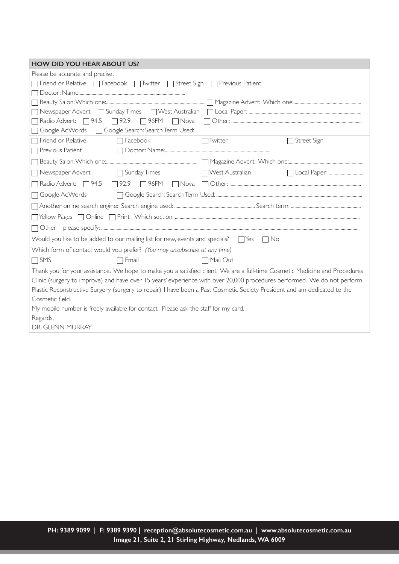| <b>HOW DID YOU HEAR ABOUT US?</b>                                                                                          |                                   |  |  |  |  |  |
|----------------------------------------------------------------------------------------------------------------------------|-----------------------------------|--|--|--|--|--|
| Please be accurate and precise.                                                                                            |                                   |  |  |  |  |  |
| The Friend or Relative TFacebook TTwitter TStreet Sign<br>$\Box$ Previous Patient                                          |                                   |  |  |  |  |  |
|                                                                                                                            |                                   |  |  |  |  |  |
|                                                                                                                            |                                   |  |  |  |  |  |
|                                                                                                                            |                                   |  |  |  |  |  |
| Radio Advert: 394.5 32.9 36FM Nova                                                                                         |                                   |  |  |  |  |  |
| Google Search: Search Term Used:<br>Google AdWords                                                                         |                                   |  |  |  |  |  |
| □ Friend or Relative<br>Facebook                                                                                           | Twitter<br>Street Sign            |  |  |  |  |  |
| Previous Patient                                                                                                           |                                   |  |  |  |  |  |
|                                                                                                                            |                                   |  |  |  |  |  |
| Newspaper Advert<br>□ Sunday Times                                                                                         | □ West Australian<br>Local Paper: |  |  |  |  |  |
| Radio Advert: □ 94.5 □ 92.9<br>$\Box$ 96FM                                                                                 |                                   |  |  |  |  |  |
| Google AdWords                                                                                                             |                                   |  |  |  |  |  |
|                                                                                                                            |                                   |  |  |  |  |  |
|                                                                                                                            |                                   |  |  |  |  |  |
|                                                                                                                            |                                   |  |  |  |  |  |
| Would you like to be added to our mailing list for new, events and specials?<br>$\Box$ Yes<br>$ \bigcap N_{0}$             |                                   |  |  |  |  |  |
| Which form of contact would you prefer? (You may unsubscribe at any time)                                                  |                                   |  |  |  |  |  |
| $\Box$ SMS<br>Email                                                                                                        | $\Box$ Mail Out                   |  |  |  |  |  |
| Thank you for your assistance. We hope to make you a satisfied client. We are a full-time Cosmetic Medicine and Procedures |                                   |  |  |  |  |  |
| Clinic (surgery to improve) and have over 15 years' experience with over 20,000 procedures performed. We do not perform    |                                   |  |  |  |  |  |
| Plastic Reconstructive Surgery (surgery to repair). I have been a Past Cosmetic Society President and am dedicated to the  |                                   |  |  |  |  |  |
| Cosmetic field.                                                                                                            |                                   |  |  |  |  |  |
| My mobile number is freely available for contact. Please ask the staff for my card.                                        |                                   |  |  |  |  |  |
| Regards,                                                                                                                   |                                   |  |  |  |  |  |
| DR. GLENN MURRAY                                                                                                           |                                   |  |  |  |  |  |